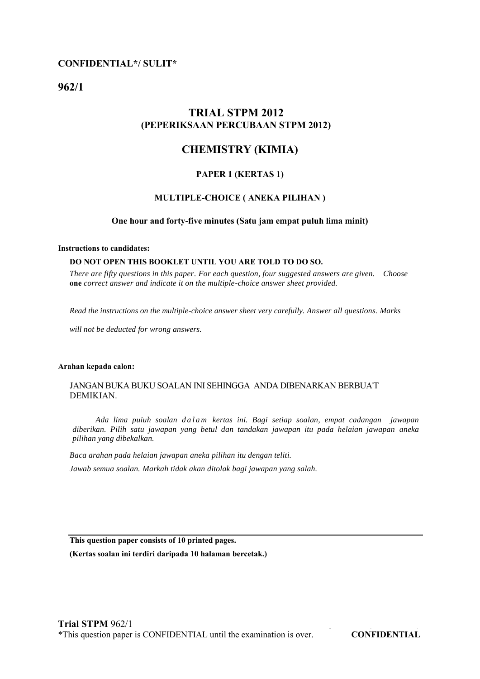## **CONFIDENTIAL\*/ SULIT\***

**962/1** 

# **TRIAL STPM 2012 (PEPERIKSAAN PERCUBAAN STPM 2012)**

# **CHEMISTRY (KIMIA)**

## **PAPER 1 (KERTAS 1)**

#### **MULTIPLE-CHOICE ( ANEKA PILIHAN )**

#### **One hour and forty-five minutes (Satu jam empat puluh lima minit)**

#### **Instructions to candidates:**

#### **DO NOT OPEN THIS BOOKLET UNTIL YOU ARE TOLD TO DO SO.**

*There are fifty questions in this paper. For each question, four suggested answers are given. Choose*  **one** *correct answer and indicate it on the multiple-choice answer sheet provided.* 

*Read the instructions on the multiple-choice answer sheet very carefully. Answer all questions. Marks* 

*will not be deducted for wrong answers.* 

#### **Arahan kepada calon:**

### JANGAN BUKA BUKU SOALAN INI SEHINGGA ANDA DIBENARKAN BERBUA'T DEMIKIAN.

 *Ada lima puiuh soalan d a l a m kertas ini. Bagi setiap soalan, empat cadangan jawapan diberikan. Pilih satu jawapan yang betul dan tandakan jawapan itu pada helaian jawapan aneka pilihan yang dibekalkan.*

*Baca arahan pada helaian jawapan aneka pilihan itu dengan teliti.* 

*Jawab semua soalan. Markah tidak akan ditolak bagi jawapan yang salah.* 

**This question paper consists of 10 printed pages.**

**(Kertas soalan ini terdiri daripada 10 halaman bercetak.)**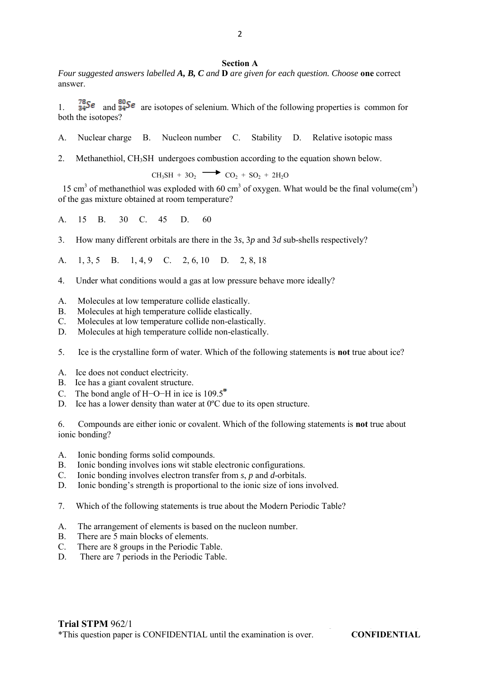#### **Section A**

*Four suggested answers labelled A, B, C and* **D** *are given for each question. Choose* **one** correct answer.

1.  $\frac{78}{34}$ Se and  $\frac{80}{34}$ Se are isotopes of selenium. Which of the following properties is common for both the isotopes?

- A. Nuclear charge B. Nucleon number C. Stability D. Relative isotopic mass
- 2. Methanethiol, CH3SH undergoes combustion according to the equation shown below.

 $CH_3SH + 3O_2$   $CO_2 + SO_2 + 2H_2O$ 

15 cm<sup>3</sup> of methanethiol was exploded with 60 cm<sup>3</sup> of oxygen. What would be the final volume(cm<sup>3</sup>) of the gas mixture obtained at room temperature?

A. 15 B. 30 C. 45 D. 60

3. How many different orbitals are there in the 3*s*, 3*p* and 3*d* sub-shells respectively?

A. 1, 3, 5 B. 1, 4, 9 C. 2, 6, 10 D. 2, 8, 18

- 4. Under what conditions would a gas at low pressure behave more ideally?
- A. Molecules at low temperature collide elastically.
- B. Molecules at high temperature collide elastically.
- C. Molecules at low temperature collide non-elastically.
- D. Molecules at high temperature collide non-elastically.
- 5. Ice is the crystalline form of water. Which of the following statements is **not** true about ice?
- A. Ice does not conduct electricity.
- B. Ice has a giant covalent structure.
- C. The bond angle of H−O−H in ice is 109.5<sup>°</sup>
- D. Ice has a lower density than water at 0°C due to its open structure.

6. Compounds are either ionic or covalent. Which of the following statements is **not** true about ionic bonding?

- A. Ionic bonding forms solid compounds.
- B. Ionic bonding involves ions wit stable electronic configurations.
- C. Ionic bonding involves electron transfer from *s*, *p* and *d*-orbitals.
- D. Ionic bonding's strength is proportional to the ionic size of ions involved.
- 7. Which of the following statements is true about the Modern Periodic Table?
- A. The arrangement of elements is based on the nucleon number.
- B. There are 5 main blocks of elements.
- C. There are 8 groups in the Periodic Table.
- D. There are 7 periods in the Periodic Table.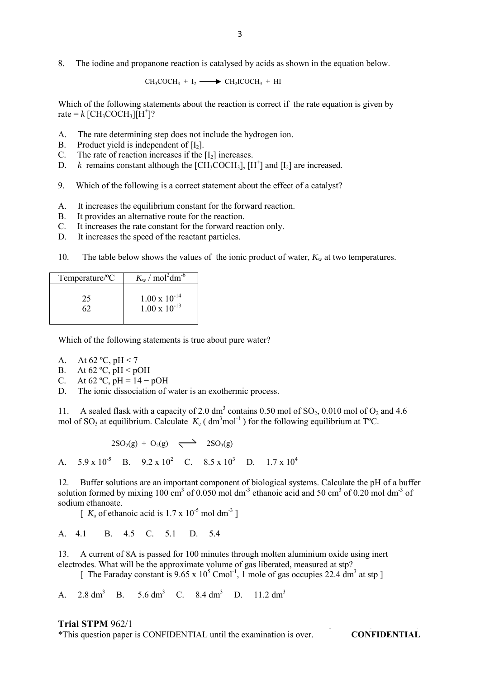$CH_3COCH_3 + I_2 \longrightarrow CH_2ICOCH_3 + HI$ 

Which of the following statements about the reaction is correct if the rate equation is given by rate =  $k$  [CH<sub>3</sub>COCH<sub>3</sub>][H<sup>+</sup>]?

- A. The rate determining step does not include the hydrogen ion.<br>B. Product vield is independent of  $[I_2]$ .
- B. Product yield is independent of  $[I_2]$ .<br>C. The rate of reaction increases if the
- The rate of reaction increases if the  $[I_2]$  increases.
- D. *k* remains constant although the  $[CH_3COCH_3]$ ,  $[H^+]$  and  $[I_2]$  are increased.
- 9. Which of the following is a correct statement about the effect of a catalyst?
- A. It increases the equilibrium constant for the forward reaction.
- B. It provides an alternative route for the reaction.
- C. It increases the rate constant for the forward reaction only.
- D. It increases the speed of the reactant particles.
- 10. The table below shows the values of the ionic product of water,  $K_w$  at two temperatures.

| Temperature/ <sup>o</sup> C | $K_{\rm w}$ / mol <sup>2</sup> dm <sup>-6</sup>  |
|-----------------------------|--------------------------------------------------|
| 25                          | $1.00 \times 10^{-14}$<br>$1.00 \times 10^{-13}$ |

Which of the following statements is true about pure water?

- A. At  $62 °C$ ,  $pH < 7$
- B. At  $62 °C$ ,  $pH < pOH$
- C. At  $62 \text{ °C}$ ,  $pH = 14 pOH$
- D. The ionic dissociation of water is an exothermic process.

11. A sealed flask with a capacity of 2.0 dm<sup>3</sup> contains 0.50 mol of  $SO_2$ , 0.010 mol of  $O_2$  and 4.6 mol of SO<sub>3</sub> at equilibrium. Calculate  $K_c$  ( $dm^3$ mol<sup>-1</sup>) for the following equilibrium at T<sup>o</sup>C.

 $2\text{SO}_2(g) + \text{O}_2(g) \implies 2\text{SO}_3(g)$ 

A.  $5.9 \times 10^5$  B.  $9.2 \times 10^2$  C.  $8.5 \times 10^3$  D.  $1.7 \times 10^4$ 

12. Buffer solutions are an important component of biological systems. Calculate the pH of a buffer solution formed by mixing 100 cm<sup>3</sup> of 0.050 mol dm<sup>-3</sup> ethanoic acid and 50 cm<sup>3</sup> of 0.20 mol dm<sup>-3</sup> of sodium ethanoate.

 $\left[ K_a$  of ethanoic acid is 1.7 x 10<sup>-5</sup> mol dm<sup>-3</sup> ]

A. 4.1 B. 4.5 C. 5.1 D. 5.4

13. A current of 8A is passed for 100 minutes through molten aluminium oxide using inert electrodes. What will be the approximate volume of gas liberated, measured at stp?

[ The Faraday constant is  $9.65 \times 10^5$  Cmol<sup>-1</sup>, 1 mole of gas occupies 22.4 dm<sup>3</sup> at stp ]

A.  $2.8 \text{ dm}^3$ B.  $5.6 \text{ dm}^3$  C.  $8.4 \text{ dm}^3$  D.  $11.2 \text{ dm}^3$ 

#### **Trial STPM** 962/1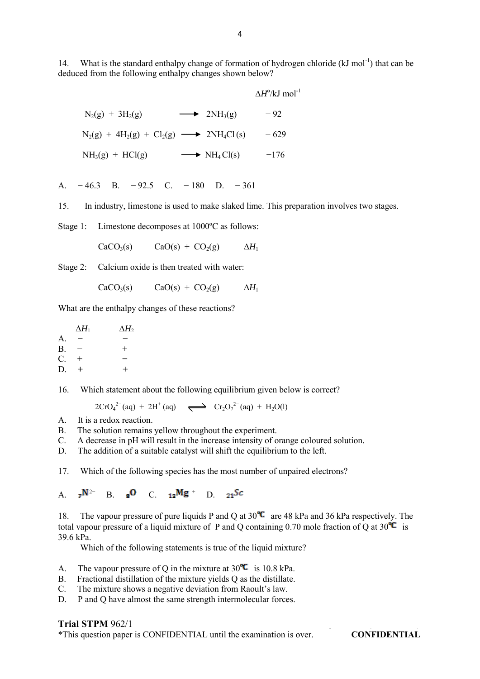14. What is the standard enthalpy change of formation of hydrogen chloride  $(kJ \text{ mol}^{-1})$  that can be deduced from the following enthalpy changes shown below?

|                                                              | $\Delta H^{\circ}/kJ$ mol <sup>-1</sup> |
|--------------------------------------------------------------|-----------------------------------------|
| $N_2(g) + 3H_2(g)$<br>$\longrightarrow$ 2NH <sub>3</sub> (g) | $-92$                                   |
| $N_2(g) + 4H_2(g) + Cl_2(g) \longrightarrow 2NH_4Cl(s)$      | $-629$                                  |
| $NH3(g) + HCl(g)$<br>$\longrightarrow$ NH <sub>4</sub> Cl(s) | $-176$                                  |

A. − 46.3 B. − 92.5 C. − 180 D. − 361

15. In industry, limestone is used to make slaked lime. This preparation involves two stages.

Stage 1: Limestone decomposes at 1000ºC as follows:

$$
CaCO3(s) \t CaO(s) + CO2(g) \t \Delta H1
$$

Stage 2: Calcium oxide is then treated with water:

$$
CaCO3(s) \t CaO(s) + CO2(g) \t \Delta H1
$$

What are the enthalpy changes of these reactions?

 $\Delta H_1$   $\Delta H_2$  $A<sub>-</sub>$  $B. - +$ C. **+ −**  D. **+ +**

16. Which statement about the following equilibrium given below is correct?

 $2CrO<sub>4</sub><sup>2-</sup>(aq) + 2H<sup>+</sup>(aq) \implies Cr<sub>2</sub>O<sub>7</sub><sup>2-</sup>(aq) + H<sub>2</sub>O(l)$ 

- A. It is a redox reaction.
- B. The solution remains yellow throughout the experiment.
- C. A decrease in pH will result in the increase intensity of orange coloured solution.

D. The addition of a suitable catalyst will shift the equilibrium to the left.

17. Which of the following species has the most number of unpaired electrons?

A.  $7^{N^{2-}}$  B.  $8^{O}$  C.  $12^{Mg}$  D.

18. The vapour pressure of pure liquids P and Q at  $30^{\circ}$  are 48 kPa and 36 kPa respectively. The total vapour pressure of a liquid mixture of P and Q containing 0.70 mole fraction of Q at  $30^{\circ}C$  is 39.6 kPa.

Which of the following statements is true of the liquid mixture?

- A. The vapour pressure of Q in the mixture at  $30^{\circ}$  is 10.8 kPa.
- B. Fractional distillation of the mixture yields Q as the distillate.
- C. The mixture shows a negative deviation from Raoult's law.
- D. P and Q have almost the same strength intermolecular forces.

#### **Trial STPM** 962/1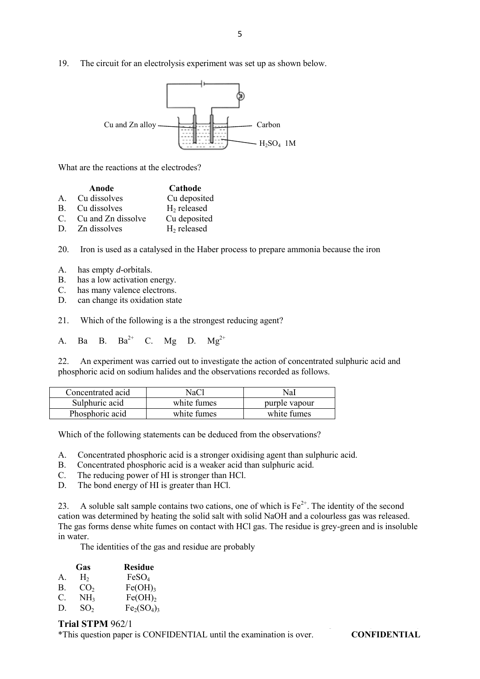19. The circuit for an electrolysis experiment was set up as shown below.



What are the reactions at the electrodes?

|         | Anode                 | Cathode       |
|---------|-----------------------|---------------|
| $A_{-}$ | Cu dissolves          | Cu deposited  |
|         | B. Cu dissolves       | $H2$ released |
|         | C. Cu and Zn dissolve | Cu deposited  |
| D.      | Zn dissolves          | $H2$ released |

20. Iron is used as a catalysed in the Haber process to prepare ammonia because the iron

- A. has empty *d*-orbitals.
- B. has a low activation energy.
- C. has many valence electrons.
- D. can change its oxidation state
- 21. Which of the following is a the strongest reducing agent?

A. Ba B. Ba<sup>2+</sup> C. Mg D. Mg<sup>2+</sup>

22. An experiment was carried out to investigate the action of concentrated sulphuric acid and phosphoric acid on sodium halides and the observations recorded as follows.

| Concentrated acid | NaCl        | NaI           |
|-------------------|-------------|---------------|
| Sulphuric acid    | white fumes | purple vapour |
| Phosphoric acid   | white fumes | white fumes   |

Which of the following statements can be deduced from the observations?

- A. Concentrated phosphoric acid is a stronger oxidising agent than sulphuric acid.
- B. Concentrated phosphoric acid is a weaker acid than sulphuric acid.
- C. The reducing power of HI is stronger than HCl.
- D. The bond energy of HI is greater than HCl.

23. A soluble salt sample contains two cations, one of which is  $Fe^{2+}$ . The identity of the second cation was determined by heating the solid salt with solid NaOH and a colourless gas was released. The gas forms dense white fumes on contact with HCl gas. The residue is grey-green and is insoluble in water.

The identities of the gas and residue are probably

|    | Gas             | <b>Residue</b>      |
|----|-----------------|---------------------|
| A. | Н,              | FeSO <sub>4</sub>   |
| Β. | CO <sub>2</sub> | Fe(OH) <sub>3</sub> |
| C. | NH <sub>3</sub> | Fe(OH) <sub>2</sub> |
| D. | SO <sub>2</sub> | $Fe2(SO4)3$         |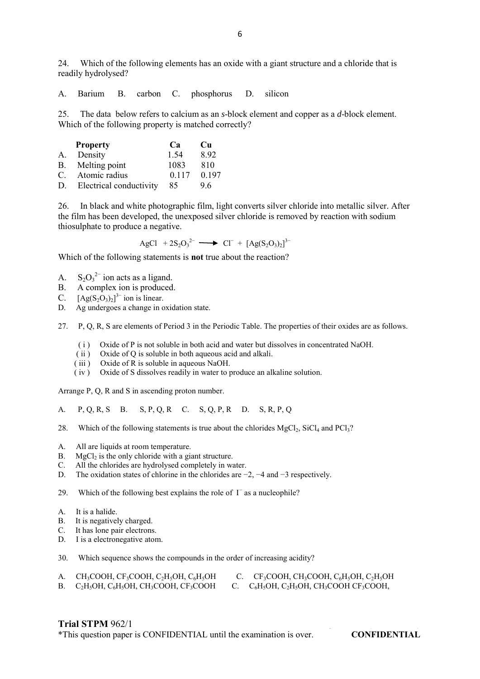24. Which of the following elements has an oxide with a giant structure and a chloride that is readily hydrolysed?

A. Barium B. carbon C. phosphorus D. silicon

25. The data below refers to calcium as an *s*-block element and copper as a *d*-block element. Which of the following property is matched correctly?

|    | <b>Property</b>         | C <sup>a</sup> | Cu    |
|----|-------------------------|----------------|-------|
| A. | Density                 | 1.54           | 8.92  |
| B. | Melting point           | 1083           | 810   |
| C. | Atomic radius           | 0.117          | 0.197 |
| D. | Electrical conductivity | 85             | 96    |

26. In black and white photographic film, light converts silver chloride into metallic silver. After the film has been developed, the unexposed silver chloride is removed by reaction with sodium thiosulphate to produce a negative.

AgCl +  $2S_2O_3^{2-}$   $\longrightarrow$  Cl<sup>-</sup> +  $[Ag(S_2O_3)_2]^{3-}$ 

Which of the following statements is **not** true about the reaction?

- A.  $S_2O_3^{2-}$  ion acts as a ligand.
- B. A complex ion is produced.<br>C  $[Ag(S_2O_2)]^3$  ion is linear
- C.  $[Ag(S_2O_3)_2]^{3-}$  ion is linear.
- D. Ag undergoes a change in oxidation state.

27. P, Q, R, S are elements of Period 3 in the Periodic Table. The properties of their oxides are as follows.

- ( i ) Oxide of P is not soluble in both acid and water but dissolves in concentrated NaOH.
- ( ii ) Oxide of Q is soluble in both aqueous acid and alkali.
- (iii) Oxide of R is soluble in aqueous NaOH.
- ( iv ) Oxide of S dissolves readily in water to produce an alkaline solution.

Arrange P, Q, R and S in ascending proton number.

A. P, Q, R, S B. S, P, Q, R C. S, Q, P, R D. S, R, P, Q

- 28. Which of the following statements is true about the chlorides  $MgCl<sub>2</sub>$ , SiCl<sub>4</sub> and PCl<sub>3</sub>?
- A. All are liquids at room temperature.<br>B.  $MgCl<sub>2</sub>$  is the only chloride with a gig
- B. MgCl<sub>2</sub> is the only chloride with a giant structure.<br>C. All the chlorides are hydrolysed completely in wa
- All the chlorides are hydrolysed completely in water.
- D. The oxidation states of chlorine in the chlorides are −2, −4 and −3 respectively.

29. Which of the following best explains the role of  $I<sup>-</sup>$  as a nucleophile?

- 
- A. It is a halide.<br>B. It is negative. B. It is negatively charged.<br>C. It has lone pair electrons
- It has lone pair electrons.
- D. I is a electronegative atom.
- 30. Which sequence shows the compounds in the order of increasing acidity?

| $CH_3COOH$ , $CF_3COOH$ , $C_2H_5OH$ , $C_6H_5OH$    | $CF_3COOH$ , $CH_3COOH$ , $C_6H_5OH$ , $C_2H_5OH$  |
|------------------------------------------------------|----------------------------------------------------|
| B. $C_2H_5OH$ , $C_6H_5OH$ , $CH_3COOH$ , $CF_3COOH$ | $\rm C_6H_5OH, C_2H_5OH, CH_3COOH$ $\rm CF_3COOH,$ |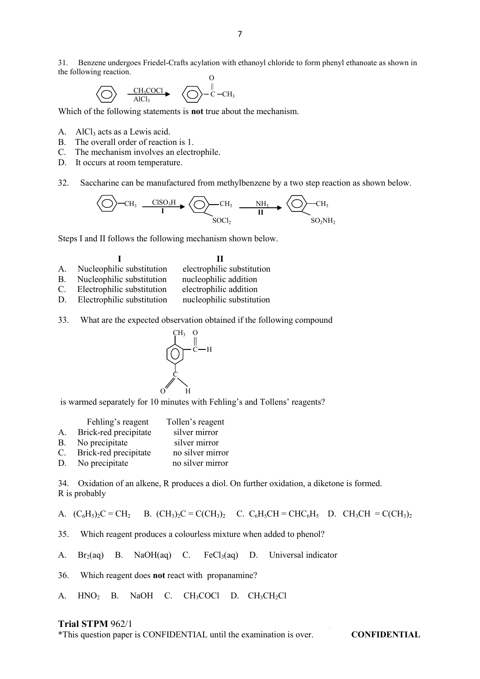O 31. Benzene undergoes Friedel-Crafts acylation with ethanoyl chloride to form phenyl ethanoate as shown in the following reaction.

$$
\bigotimes \quad \xrightarrow{\quad CH_3COCl \quad \bullet \quad } \bigotimes \hspace{0.1cm} \xrightarrow{\qquad \qquad } CH_3
$$

Which of the following statements is **not** true about the mechanism.

- A.  $\Delta ICl_3$  acts as a Lewis acid.
- B. The overall order of reaction is 1.
- C. The mechanism involves an electrophile.
- D. It occurs at room temperature.
- 32. Saccharine can be manufactured from methylbenzene by a two step reaction as shown below.

$$
\left\langle \bigcirc \right\rangle - CH_3 \xrightarrow{\text{CISO}_3\text{H}} \left\langle \bigcirc \right\rangle - CH_3 \xrightarrow{\text{NH}_3} \left\langle \bigcirc \right\rangle - CH_3
$$
  
SOCl<sub>2</sub>

Steps I and II follows the following mechanism shown below.

#### **I I II**

- A. Nucleophilic substitution electrophilic substitution
- B. Nucleophilic substitution nucleophilic addition
- C. Electrophilic substitution electrophilic addition
- D. Electrophilic substitution nucleophilic substitution
- 33. What are the expected observation obtained if the following compound



is warmed separately for 10 minutes with Fehling's and Tollens' reagents?

|    | Fehling's reagent     | Tollen's reagent |
|----|-----------------------|------------------|
| А. | Brick-red precipitate | silver mirror    |
| В. | No precipitate        | silver mirror    |
| C. | Brick-red precipitate | no silver mirror |
| D. | No precipitate        | no silver mirror |

34. Oxidation of an alkene, R produces a diol. On further oxidation, a diketone is formed. R is probably

A.  $(C_6H_5)_2C = CH_2$  B.  $(CH_3)_2C = C(CH_3)_2$  C.  $C_6H_5CH = CHC_6H_5$  D.  $CH_3CH = C(CH_3)_2$ 

35. Which reagent produces a colourless mixture when added to phenol?

A.  $Br<sub>2</sub>(aa)$  B. NaOH(aq) C. FeCl $_3$ (aq) D. Universal indicator

36. Which reagent does **not** react with propanamine?

A. HNO<sub>2</sub> B. NaOH C. CH<sub>3</sub>COCl D. CH<sub>3</sub>CH<sub>2</sub>Cl

## **Trial STPM** 962/1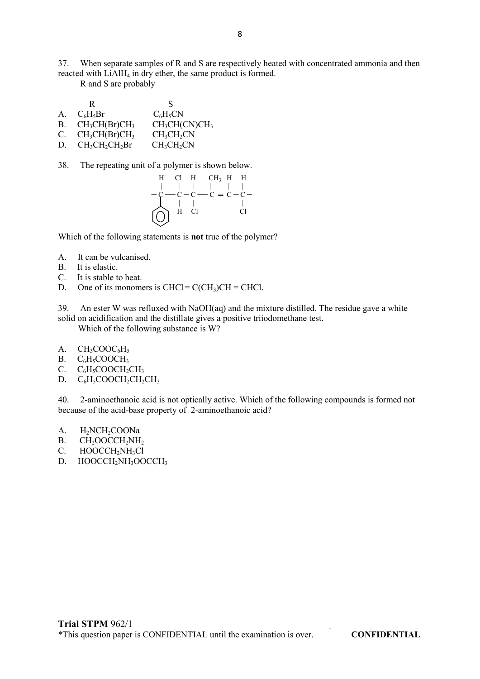37. When separate samples of R and S are respectively heated with concentrated ammonia and then reacted with LiAlH<sub>4</sub> in dry ether, the same product is formed.

R and S are probably

|    | ĸ                | S                                     |
|----|------------------|---------------------------------------|
| A. | $C_6H_5Br$       | $C_6H_5CN$                            |
| В. | $CH_3CH(Br)CH_3$ | CH <sub>3</sub> CH(CN)CH <sub>3</sub> |
| C. | $CH_3CH(Br)CH_3$ | CH <sub>3</sub> CH <sub>2</sub> CN    |
| D. | $CH3CH2CH2Br$    | CH <sub>3</sub> CH <sub>2</sub> CN    |

38. The repeating unit of a polymer is shown below.



Which of the following statements is **not** true of the polymer?

- A. It can be vulcanised.
- B. It is elastic.
- C. It is stable to heat.
- D. One of its monomers is  $CHCl = C(CH<sub>3</sub>)CH = CHCl$ .

39. An ester W was refluxed with NaOH(aq) and the mixture distilled. The residue gave a white solid on acidification and the distillate gives a positive triiodomethane test.

Which of the following substance is W?

- A.  $CH_3COOC<sub>6</sub>H<sub>5</sub>$
- B.  $C_6H_5COOCH_3$ <br>C.  $C_6H_5COOCH_2$
- $C_6H_5COOCH_2CH_3$
- D.  $C_6H_5COOCH_2CH_2CH_3$

40. 2-aminoethanoic acid is not optically active. Which of the following compounds is formed not because of the acid-base property of 2-aminoethanoic acid?

- A. H<sub>2</sub>NCH<sub>2</sub>COONa
- $B.$  CH<sub>2</sub>OOCCH<sub>2</sub>NH<sub>2</sub>
- C. HOOCCH<sub>2</sub>NH<sub>3</sub>Cl<br>D. HOOCCH<sub>2</sub>NH<sub>3</sub>OO
- HOOCCH<sub>2</sub>NH<sub>3</sub>OOCCH<sub>3</sub>

**Trial STPM** 962/1<br> **\*This question paper is CONEIDENTIAL until the examination is over <b>CONEIDENTIAL** \*This question paper is CONFIDENTIAL until the examination is over. **CONFIDENTIAL**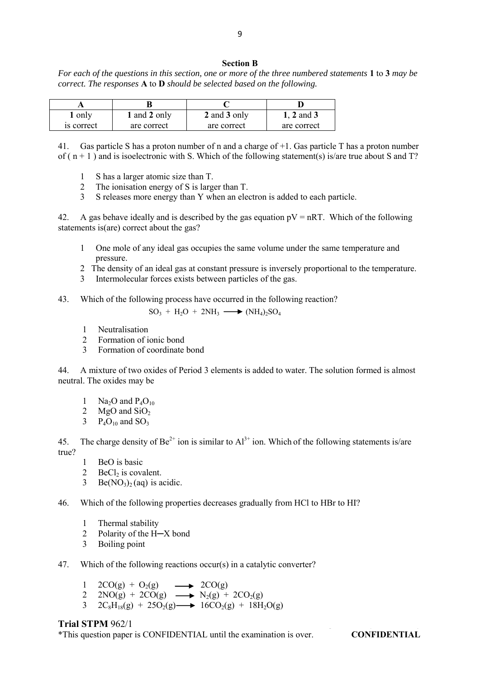#### **Section B**

*For each of the questions in this section, one or more of the three numbered statements* **1** to **3** *may be correct. The responses* **A** to **D** *should be selected based on the following.*

| 1 only     | 1 and 2 only | 2 and 3 only | $1, 2$ and $3$ |
|------------|--------------|--------------|----------------|
| is correct | are correct  | are correct  | are correct    |

41. Gas particle S has a proton number of n and a charge of +1. Gas particle T has a proton number of  $(n + 1)$  and is isoelectronic with S. Which of the following statement(s) is/are true about S and T?

- 1 S has a larger atomic size than T.
- 2 The ionisation energy of S is larger than T.
- 3 S releases more energy than Y when an electron is added to each particle.

42. A gas behave ideally and is described by the gas equation  $pV = nRT$ . Which of the following statements is(are) correct about the gas?

- 1 One mole of any ideal gas occupies the same volume under the same temperature and pressure.
- 2 The density of an ideal gas at constant pressure is inversely proportional to the temperature.
- 3 Intermolecular forces exists between particles of the gas.
- 43. Which of the following process have occurred in the following reaction?

$$
SO_3 + H_2O + 2NH_3 \longrightarrow (NH_4)_2SO_4
$$

- 1 Neutralisation
- 2 Formation of ionic bond
- 3 Formation of coordinate bond

44. A mixture of two oxides of Period 3 elements is added to water. The solution formed is almost neutral. The oxides may be

- 1 Na<sub>2</sub>O and  $P_4O_{10}$
- 2 MgO and  $SiO<sub>2</sub>$
- $P_4O_{10}$  and  $SO_3$

45. The charge density of  $Be^{2+}$  ion is similar to  $Al^{3+}$  ion. Which of the following statements is/are true?

- 1 BeO is basic
- $2$  BeCl<sub>2</sub> is covalent.
- 3 Be( $NO<sub>3</sub>$ )<sub>2</sub>(aq) is acidic.

46. Which of the following properties decreases gradually from HCl to HBr to HI?

- 1 Thermal stability
- 2 Polarity of the H─X bond
- 3 Boiling point
- 47. Which of the following reactions occur(s) in a catalytic converter?
	- 1 2CO(g) + O<sub>2</sub>(g)  $\longrightarrow$  2CO(g)
	- 2  $2NO(g) + 2CO(g) \longrightarrow N_2(g) + 2CO_2(g)$
	- 3  $2C_8H_{18}(g) + 25O_2(g) \longrightarrow 16CO_2(g) + 18H_2O(g)$

#### **Trial STPM** 962/1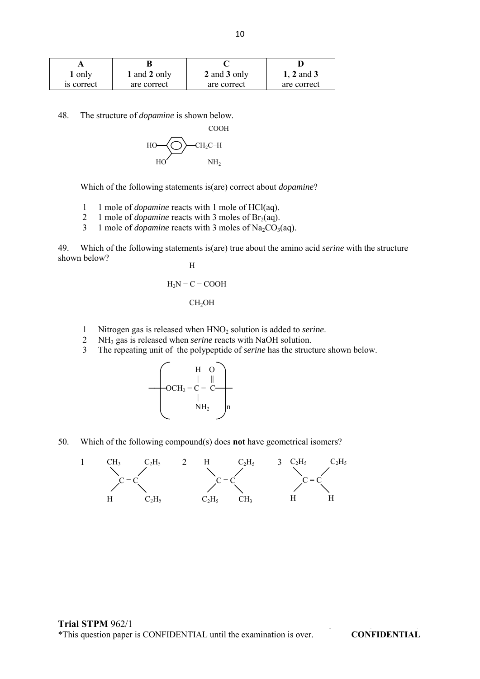| 1 only     | 1 and 2 only | 2 and 3 only | 1, 2 and 3  |
|------------|--------------|--------------|-------------|
| is correct | are correct  | are correct  | are correct |

48. The structure of *dopamine* is shown below.



Which of the following statements is(are) correct about *dopamine*?

- 1 1 mole of *dopamine* reacts with 1 mole of HCl(aq).<br>2 1 mole of *donamine* reacts with 3 moles of Br<sub>2</sub>(aq)
- 2 1 mole of *dopamine* reacts with 3 moles of  $Br_2(aq)$ .<br>3 1 mole of *donamine* reacts with 3 moles of  $Na_2CO_2$ .
- 1 mole of *dopamine* reacts with 3 moles of Na<sub>2</sub>CO<sub>3</sub>(aq).

49. Which of the following statements is(are) true about the amino acid *serine* with the structure shown below?

$$
\begin{array}{c}\n\text{H} \\
\mid \\
\text{H}_{2}\text{N}-\text{C}-\text{COOH} \\
\mid \\
\text{CH}_{2}\text{OH}\n\end{array}
$$

- 1 Nitrogen gas is released when HNO<sup>2</sup> solution is added to *serine*.
- 2 NH<sup>3</sup> gas is released when *serine* reacts with NaOH solution.
- 3 The repeating unit of the polypeptide of *serine* has the structure shown below.



50. Which of the following compound(s) does **not** have geometrical isomers?

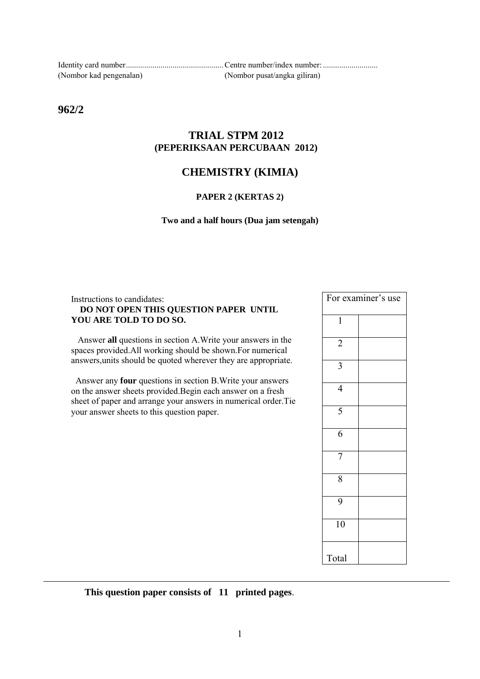| (Nombor kad pengenalan) | (Nombor pusat/angka giliran) |
|-------------------------|------------------------------|

**962/2** 

## **TRIAL STPM 2012 (PEPERIKSAAN PERCUBAAN 2012)**

# **CHEMISTRY (KIMIA)**

## **PAPER 2 (KERTAS 2)**

#### **Two and a half hours (Dua jam setengah)**

### Instructions to candidates: **DO NOT OPEN THIS QUESTION PAPER UNTIL YOU ARE TOLD TO DO SO.**

 Answer **all** questions in section A.Write your answers in the spaces provided.All working should be shown.For numerical answers,units should be quoted wherever they are appropriate.

 Answer any **four** questions in section B.Write your answers on the answer sheets provided.Begin each answer on a fresh sheet of paper and arrange your answers in numerical order.Tie your answer sheets to this question paper.

|                | For examiner's use |
|----------------|--------------------|
| 1              |                    |
| $\overline{2}$ |                    |
| 3              |                    |
| $\overline{4}$ |                    |
| $\overline{5}$ |                    |
| 6              |                    |
| 7              |                    |
| 8              |                    |
| 9              |                    |
| 10             |                    |
| Total          |                    |

 **This question paper consists of 11 printed pages**.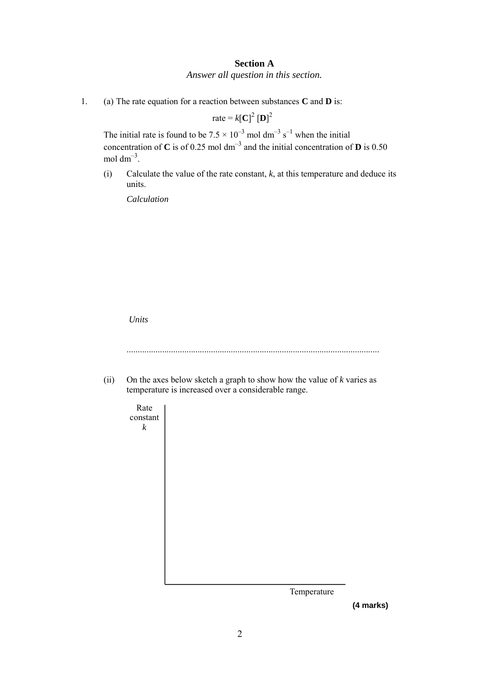## **Section A** *Answer all question in this section.*

1. (a) The rate equation for a reaction between substances **C** and **D** is:

rate =  $k[\mathbf{C}]^2 [\mathbf{D}]^2$ 

The initial rate is found to be  $7.5 \times 10^{-3}$  mol dm<sup>-3</sup> s<sup>-1</sup> when the initial concentration of **C** is of 0.25 mol  $dm^{-3}$  and the initial concentration of **D** is 0.50 mol dm<sup> $-3$ </sup>.

(i) Calculate the value of the rate constant, *k*, at this temperature and deduce its units.

*Calculation* 

*Units* 





 **(4 marks)**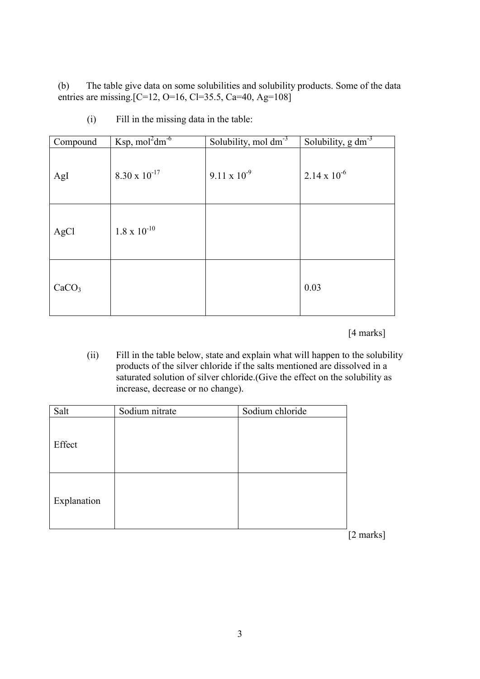(b) The table give data on some solubilities and solubility products. Some of the data entries are missing. [C=12, O=16, Cl=35.5, Ca=40, Ag=108]

| Compound          | Ksp, $mol2dm-6$        | Solubility, $\text{mol dm}^{-3}$ | Solubility, $g dm^3$  |
|-------------------|------------------------|----------------------------------|-----------------------|
| AgI               | $8.30 \times 10^{-17}$ | $9.11 \times 10^{-9}$            | $2.14 \times 10^{-6}$ |
| AgCl              | $1.8 \times 10^{-10}$  |                                  |                       |
| CaCO <sub>3</sub> |                        |                                  | 0.03                  |

(i) Fill in the missing data in the table:

[4 marks]

(ii) Fill in the table below, state and explain what will happen to the solubility products of the silver chloride if the salts mentioned are dissolved in a saturated solution of silver chloride.(Give the effect on the solubility as increase, decrease or no change).

| Salt        | Sodium nitrate | Sodium chloride |
|-------------|----------------|-----------------|
| Effect      |                |                 |
| Explanation |                |                 |

[2 marks]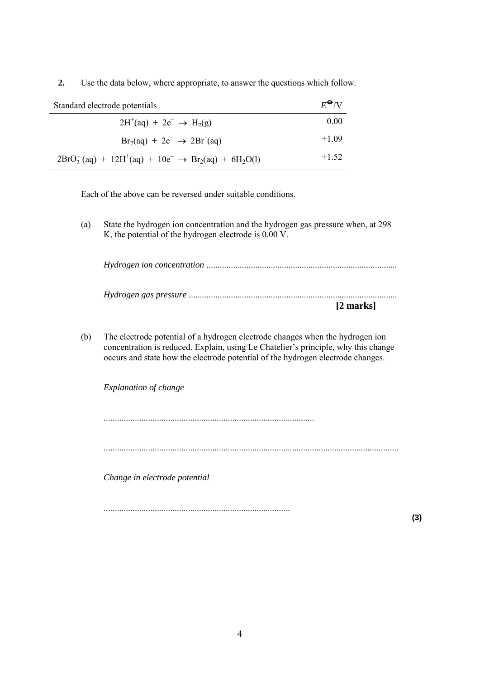**2.** Use the data below, where appropriate, to answer the questions which follow.

| $E^{\bigodot}$ /V<br>Standard electrode potentials            |         |
|---------------------------------------------------------------|---------|
| $2H^+(aq) + 2e^- \rightarrow H_2(g)$                          | 0.00    |
| $Br2(aq) + 2e^- \rightarrow 2Br-(aq)$                         | $+1.09$ |
| $2BrO3- (aq) + 12H+(aq) + 10e- \rightarrow Br2(aq) + 6H2O(l)$ | $+1.52$ |

Each of the above can be reversed under suitable conditions.

(a) State the hydrogen ion concentration and the hydrogen gas pressure when, at 298 K, the potential of the hydrogen electrode is 0.00 V.

*Hydrogen ion concentration* ...................................................................................... *Hydrogen gas pressure* ..............................................................................................

 **[2 marks]** 

(b) The electrode potential of a hydrogen electrode changes when the hydrogen ion concentration is reduced. Explain, using Le Chatelier's principle, why this change occurs and state how the electrode potential of the hydrogen electrode changes.

*Explanation of change* 

...............................................................................................

.....................................................................................................................................

*Change in electrode potential* 

....................................................................................

**(3)**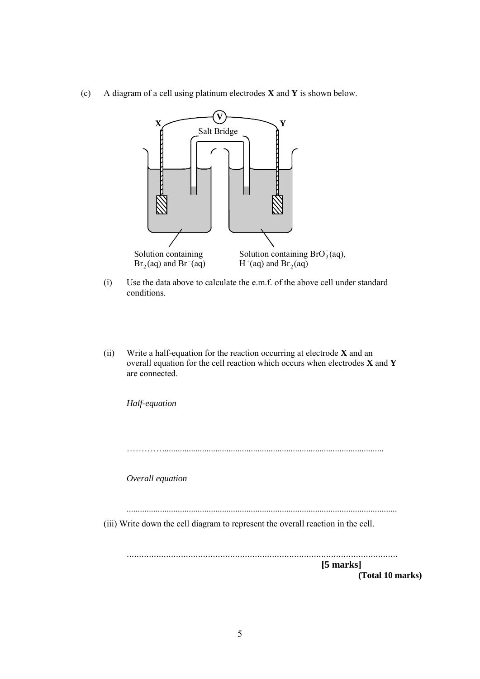(c) A diagram of a cell using platinum electrodes **X** and **Y** is shown below.



- (i) Use the data above to calculate the e.m.f. of the above cell under standard conditions.
- (ii) Write a half-equation for the reaction occurring at electrode **X** and an overall equation for the cell reaction which occurs when electrodes **X** and **Y**  are connected.

*Half-equation*  ………….................................................................................................... *Overall equation*  .......................................................................................................................... (iii) Write down the cell diagram to represent the overall reaction in the cell. ..............................................................................................................  **[5 marks] (Total 10 marks)**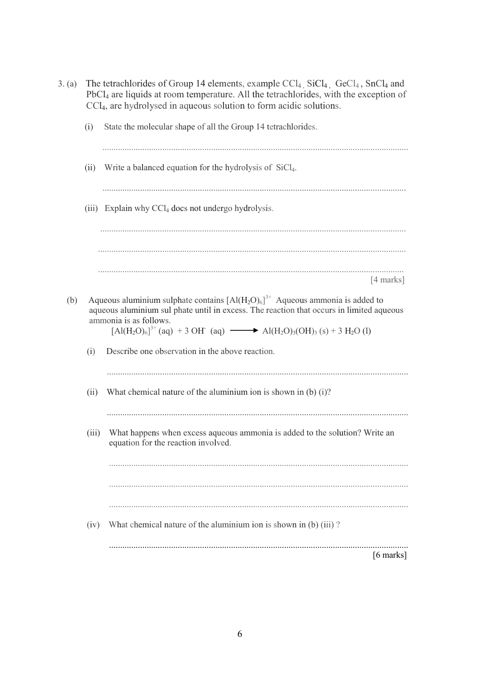| 3. (a) |                                                                                                                                                                                                                                                                                                                                                      | The tetrachlorides of Group 14 elements, example $\text{CCl}_4$ , $\text{SiCl}_4$ , $\text{GeCl}_4$ , $\text{SnCl}_4$ and<br>PbCl <sub>4</sub> are liquids at room temperature. All the tetrachlorides, with the exception of<br>CCl <sub>4</sub> , are hydrolysed in aqueous solution to form acidic solutions. |  |
|--------|------------------------------------------------------------------------------------------------------------------------------------------------------------------------------------------------------------------------------------------------------------------------------------------------------------------------------------------------------|------------------------------------------------------------------------------------------------------------------------------------------------------------------------------------------------------------------------------------------------------------------------------------------------------------------|--|
|        | (i)                                                                                                                                                                                                                                                                                                                                                  | State the molecular shape of all the Group 14 tetrachlorides.                                                                                                                                                                                                                                                    |  |
|        | (ii)                                                                                                                                                                                                                                                                                                                                                 | Write a balanced equation for the hydrolysis of SiCl <sub>4</sub> .                                                                                                                                                                                                                                              |  |
|        |                                                                                                                                                                                                                                                                                                                                                      | (iii) Explain why CCl <sub>4</sub> does not undergo hydrolysis.                                                                                                                                                                                                                                                  |  |
|        |                                                                                                                                                                                                                                                                                                                                                      |                                                                                                                                                                                                                                                                                                                  |  |
|        |                                                                                                                                                                                                                                                                                                                                                      | $[4$ marks]                                                                                                                                                                                                                                                                                                      |  |
| (b)    | Aqueous aluminium sulphate contains $[Al(H_2O)_6]^{3+}$ Aqueous ammonia is added to<br>aqueous aluminium sul phate until in excess. The reaction that occurs in limited aqueous<br>ammonia is as follows.<br>$[A](H_2O)_6]^{3+}$ (aq) + 3 OH (aq) $\longrightarrow$ Al(H <sub>2</sub> O) <sub>3</sub> (OH) <sub>3</sub> (s) + 3 H <sub>2</sub> O (l) |                                                                                                                                                                                                                                                                                                                  |  |
|        | (i)                                                                                                                                                                                                                                                                                                                                                  | Describe one observation in the above reaction.                                                                                                                                                                                                                                                                  |  |
|        | (ii)                                                                                                                                                                                                                                                                                                                                                 | What chemical nature of the aluminium ion is shown in (b) $(i)$ ?                                                                                                                                                                                                                                                |  |
|        | (iii)                                                                                                                                                                                                                                                                                                                                                | What happens when excess aqueous ammonia is added to the solution? Write an<br>equation for the reaction involved.                                                                                                                                                                                               |  |
|        |                                                                                                                                                                                                                                                                                                                                                      |                                                                                                                                                                                                                                                                                                                  |  |
|        | (iv)                                                                                                                                                                                                                                                                                                                                                 | What chemical nature of the aluminium ion is shown in (b) (iii)?                                                                                                                                                                                                                                                 |  |
|        |                                                                                                                                                                                                                                                                                                                                                      | $[6 \text{ marks}]$                                                                                                                                                                                                                                                                                              |  |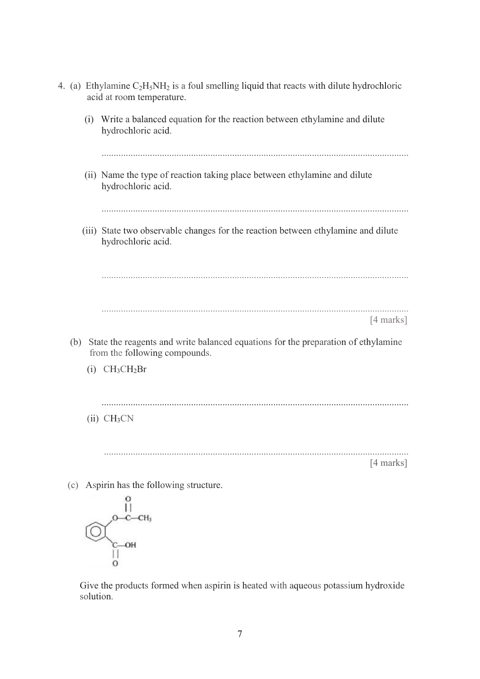|  |     | 4. (a) Ethylamine $C_2H_5NH_2$ is a foul smelling liquid that reacts with dilute hydrochloric<br>acid at room temperature. |                                                                                                                    |  |  |
|--|-----|----------------------------------------------------------------------------------------------------------------------------|--------------------------------------------------------------------------------------------------------------------|--|--|
|  |     | (i)                                                                                                                        | Write a balanced equation for the reaction between ethylamine and dilute<br>hydrochloric acid.                     |  |  |
|  |     |                                                                                                                            | (ii) Name the type of reaction taking place between ethylamine and dilute<br>hydrochloric acid.                    |  |  |
|  |     |                                                                                                                            | (iii) State two observable changes for the reaction between ethylamine and dilute<br>hydrochloric acid.            |  |  |
|  |     |                                                                                                                            |                                                                                                                    |  |  |
|  |     |                                                                                                                            | $[4 \text{ marks}]$                                                                                                |  |  |
|  | (b) |                                                                                                                            | State the reagents and write balanced equations for the preparation of ethylamine<br>from the following compounds. |  |  |
|  |     |                                                                                                                            | $(i)$ CH <sub>3</sub> CH <sub>2</sub> Br                                                                           |  |  |
|  |     |                                                                                                                            | (ii) CH <sub>3</sub> CN                                                                                            |  |  |
|  |     |                                                                                                                            | $[4$ marks]                                                                                                        |  |  |
|  | (c) |                                                                                                                            | Aspirin has the following structure.                                                                               |  |  |
|  |     |                                                                                                                            | он                                                                                                                 |  |  |
|  |     |                                                                                                                            |                                                                                                                    |  |  |

 Give the products formed when aspirin is heated with aqueous potassium hydroxide solution.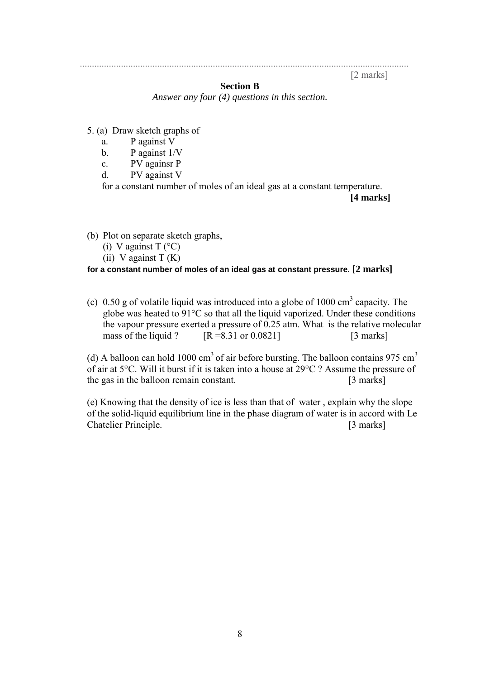........................................................................................................................................ [2 marks]

# **Section B**

*Answer any four (4) questions in this section.* 

- 5. (a) Draw sketch graphs of
	- a. P against V
	- b. P against 1/V
	- c. PV againsr P
	- d. PV against V

for a constant number of moles of an ideal gas at a constant temperature.

 **[4 marks]** 

(b) Plot on separate sketch graphs,

- (i) V against  $T$  ( $^{\circ}$ C)
- (ii) V against  $T(K)$

## **for a constant number of moles of an ideal gas at constant pressure. [2 marks]**

(c) 0.50 g of volatile liquid was introduced into a globe of 1000  $\text{cm}^3$  capacity. The globe was heated to 91°C so that all the liquid vaporized. Under these conditions the vapour pressure exerted a pressure of 0.25 atm. What is the relative molecular mass of the liquid ?  $[R = 8.31 \text{ or } 0.0821]$  [3 marks]

(d) A balloon can hold 1000 cm<sup>3</sup> of air before bursting. The balloon contains 975 cm<sup>3</sup> of air at 5°C. Will it burst if it is taken into a house at 29°C ? Assume the pressure of the gas in the balloon remain constant. [3 marks]

(e) Knowing that the density of ice is less than that of water , explain why the slope of the solid-liquid equilibrium line in the phase diagram of water is in accord with Le Chatelier Principle. [3 marks]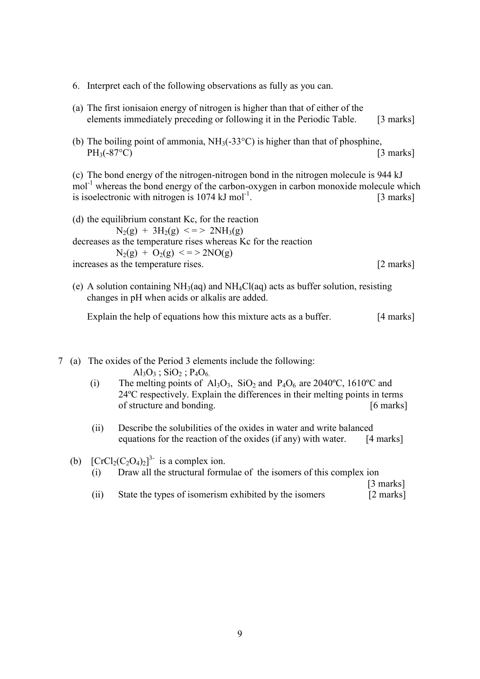- 6. Interpret each of the following observations as fully as you can.
- (a) The first ionisaion energy of nitrogen is higher than that of either of the elements immediately preceding or following it in the Periodic Table. [3 marks]
- (b) The boiling point of ammonia,  $NH_3(-33^{\circ}\text{C})$  is higher than that of phosphine,  $PH_3(-87^{\circ}C)$  [3 marks]

(c) The bond energy of the nitrogen-nitrogen bond in the nitrogen molecule is 944 kJ mol<sup>-1</sup> whereas the bond energy of the carbon-oxygen in carbon monoxide molecule which is isoelectronic with nitrogen is  $1074 \text{ kJ mol}^{-1}$ . [3 marks]

(d) the equilibrium constant Kc, for the reaction  $N_2(g) + 3H_2(g) \leq 2NH_3(g)$ decreases as the temperature rises whereas Kc for the reaction  $N_2(g) + O_2(g) \leq 2NO(g)$ increases as the temperature rises. [2 marks]

(e) A solution containing  $NH<sub>3</sub>(aq)$  and  $NH<sub>4</sub>Cl(aq)$  acts as buffer solution, resisting changes in pH when acids or alkalis are added.

Explain the help of equations how this mixture acts as a buffer. [4 marks]

7 (a) The oxides of the Period 3 elements include the following:  $Al_3O_3$ ; SiO<sub>2</sub>; P<sub>4</sub>O<sub>6.</sub>

- (i) The melting points of Al<sub>3</sub>O<sub>3</sub>, SiO<sub>2</sub> and P<sub>4</sub>O<sub>6</sub> are 2040<sup>o</sup>C, 1610<sup>o</sup>C and 24ºC respectively. Explain the differences in their melting points in terms of structure and bonding. [6 marks]
- (ii) Describe the solubilities of the oxides in water and write balanced equations for the reaction of the oxides (if any) with water. [4 marks]

(b)  $[CrCl<sub>2</sub>(C<sub>2</sub>O<sub>4</sub>)<sub>2</sub>]<sup>3</sup>$  is a complex ion.

(i) Draw all the structural formulae of the isomers of this complex ion

[3 marks]

(ii) State the types of isomerism exhibited by the isomers [2 marks]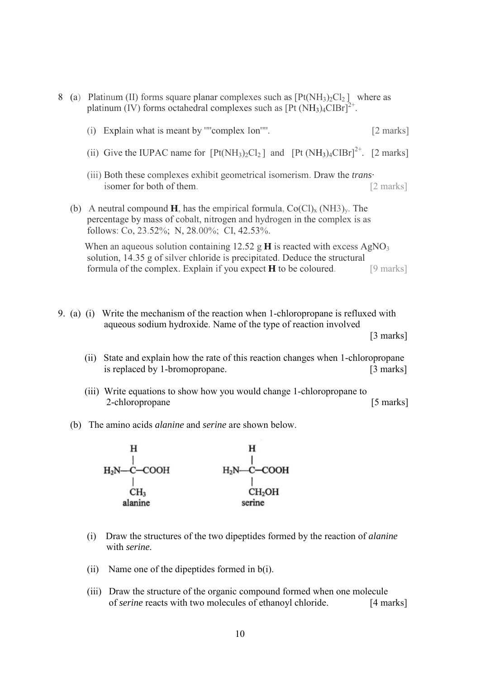platinum (IV) forms octahedral complexes such as  $[Pt(NH<sub>3</sub>)<sub>4</sub>ClBr]<sup>2+</sup>$ . (i) Explain what is meant by '"'complex Ion'"'. [2 marks] (ii) Give the IUPAC name for  $[Pt(NH_3)_2Cl_2]$  and  $[Pt(NH_3)_4ClBr]^{2+}$ . [2 marks] (iii) Both these complexes exhibit geometrical isomerism. Draw the *trans·*  isomer for both of them. [2 marks] (b) A neutral compound **H**, has the empirical formula,  $Co(Cl)_x$  (NH3)<sub>y</sub>. The percentage by mass of cobalt, nitrogen and hydrogen in the complex is as follows: Co, 23.52%; N, 28.00%; CI, 42.53%. When an aqueous solution containing 12.52 g **H** is reacted with excess  $AgNO_3$  solution, 14.35 g of silver chloride is precipitated. Deduce the structural formula of the complex. Explain if you expect **H** to be coloured. [9 marks]

8 (a) Platinum (II) forms square planar complexes such as  $[Pt(NH<sub>3</sub>)<sub>2</sub>Cl<sub>2</sub>]$  where as

- 9. (a) (i) Write the mechanism of the reaction when 1-chloropropane is refluxed with aqueous sodium hydroxide. Name of the type of reaction involved [3 marks]
	- (ii) State and explain how the rate of this reaction changes when 1-chloropropane is replaced by 1-bromopropane. [3 marks]
	- (iii) Write equations to show how you would change 1-chloropropane to 2-chloropropane [5 marks]
	- (b) The amino acids *alanine* and *serine* are shown below.



- (i) Draw the structures of the two dipeptides formed by the reaction of *alanine*  with *serine.*
- (ii) Name one of the dipeptides formed in b(i).
- (iii) Draw the structure of the organic compound formed when one molecule of *serine* reacts with two molecules of ethanoyl chloride. [4 marks]